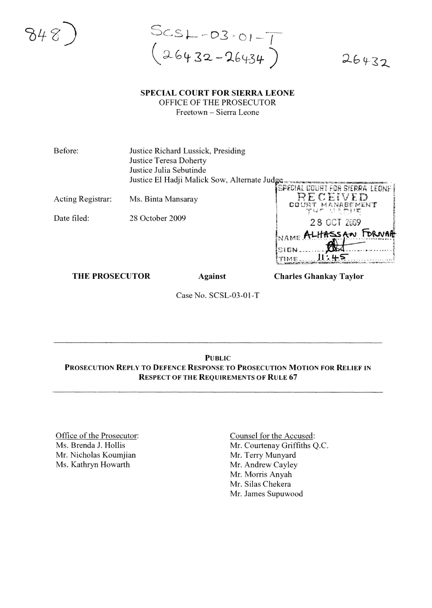$SCSL - D3 - O1 - T$ <br> $(26432 - 26434)$ 

# $26432$

#### **SPECIAL COURT FOR SIERRA LEONE** OFFICE OF THE PROSECUTOR Freetown - Sierra Leone

Before: Justice Richard Lussick, Presiding Justice Teresa Doherty Justice Julia Sebutinde Justice El Hadji Malick Sow, Alternate Judge

Acting Registrar: Ms. Binta Mansaray

Date filed: 28 October 2009

| SPECIAL COURT FOR SIERRA LEONE ! |
|----------------------------------|
| RECEIVED                         |
| COURT MANAGEMENT                 |
| ぞんげ しこうやすね                       |
| 28 OCT 2009                      |
| NAME ALITASSAN FORNAR            |
|                                  |
| SIGN.                            |
| TIME.                            |
|                                  |

**THE PROSECUTOR** 

**Against** 

**Charles Ghankay Taylor** 

Case No. SCSL-03-01-T

## **PUBLIC** PROSECUTION REPLY TO DEFENCE RESPONSE TO PROSECUTION MOTION FOR RELIEF IN **RESPECT OF THE REQUIREMENTS OF RULE 67**

Office of the Prosecutor: Ms. Brenda J. Hollis Mr. Nicholas Koumjian Ms. Kathryn Howarth

Counsel for the Accused: Mr. Courtenay Griffiths Q.C. Mr. Terry Munyard Mr. Andrew Cayley Mr. Morris Anyah Mr. Silas Chekera Mr. James Supuwood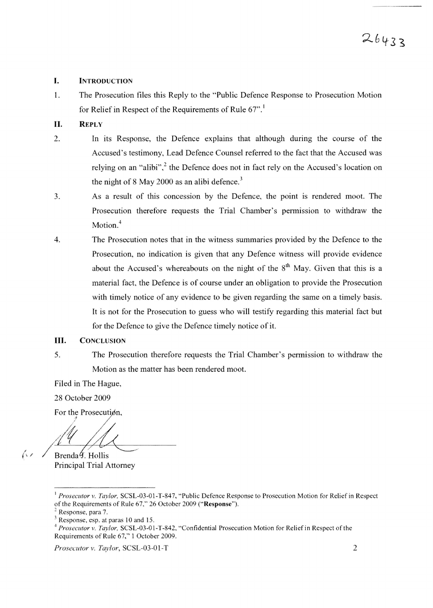#### I. INTRODUCTION

1. The Prosecution files this Reply to the "Public Defence Response to Prosecution Motion for Relief in Respect of the Requirements of Rule  $67$ ".

## II. REPLY

- 2. In its Response, the Defence explains that although during the course of the Accused's testimony, Lead Defence Counsel referred to the fact that the Accused was relying on an "alibi", $^2$  the Defence does not in fact rely on the Accused's location on the night of 8 May 2000 as an alibi defence.<sup>3</sup>
- 3. As a result of this concession by the Defence, the point is rendered moot. The Prosecution therefore requests the Trial Chamber's permission to withdraw the Motion.<sup>4</sup>
- 4. The Prosecution notes that in the witness summaries provided by the Defence to the Prosecution, no indication is given that any Defence witness will provide evidence about the Accused's whereabouts on the night of the  $8<sup>th</sup>$  May. Given that this is a material fact, the Defence is of course under an obligation to provide the Prosecution with timely notice of any evidence to be given regarding the same on a timely basis. It is not for the Prosecution to guess who will testify regarding this material fact but for the Defence to give the Defence timely notice of it.

## **III.** CONCLUSION

5. The Prosecution therefore requests the Trial Chamber's permission to withdraw the Motion as the matter has been rendered moot.

Filed in The Hague,

28 October 2009

For the Prosecution.

;1 /'. /f / Brenda  $\frac{4}{3}$ . Hollis

Principal Trial Attorney

 $\sqrt{2}$ 

*Prosecutor* v. *Taylor,* SCSL-03-01-T 2

<sup>&</sup>lt;sup>1</sup> Prosecutor v. Taylor, SCSL-03-01-T-847, "Public Defence Response to Prosecution Motion for Relief in Respect of the Requirements of Rule 67," 26 October 2009 ("Response").

Response, para 7.

 $3$  Response, esp. at paras 10 and 15.

<sup>4</sup> *Prosecutor* v. *Taylor.* SCSL-03-0 1-T-842, "Confidential Prosecution Motion for Relief in Respect ofthe Requirements of Rule 67," 1 October 2009.